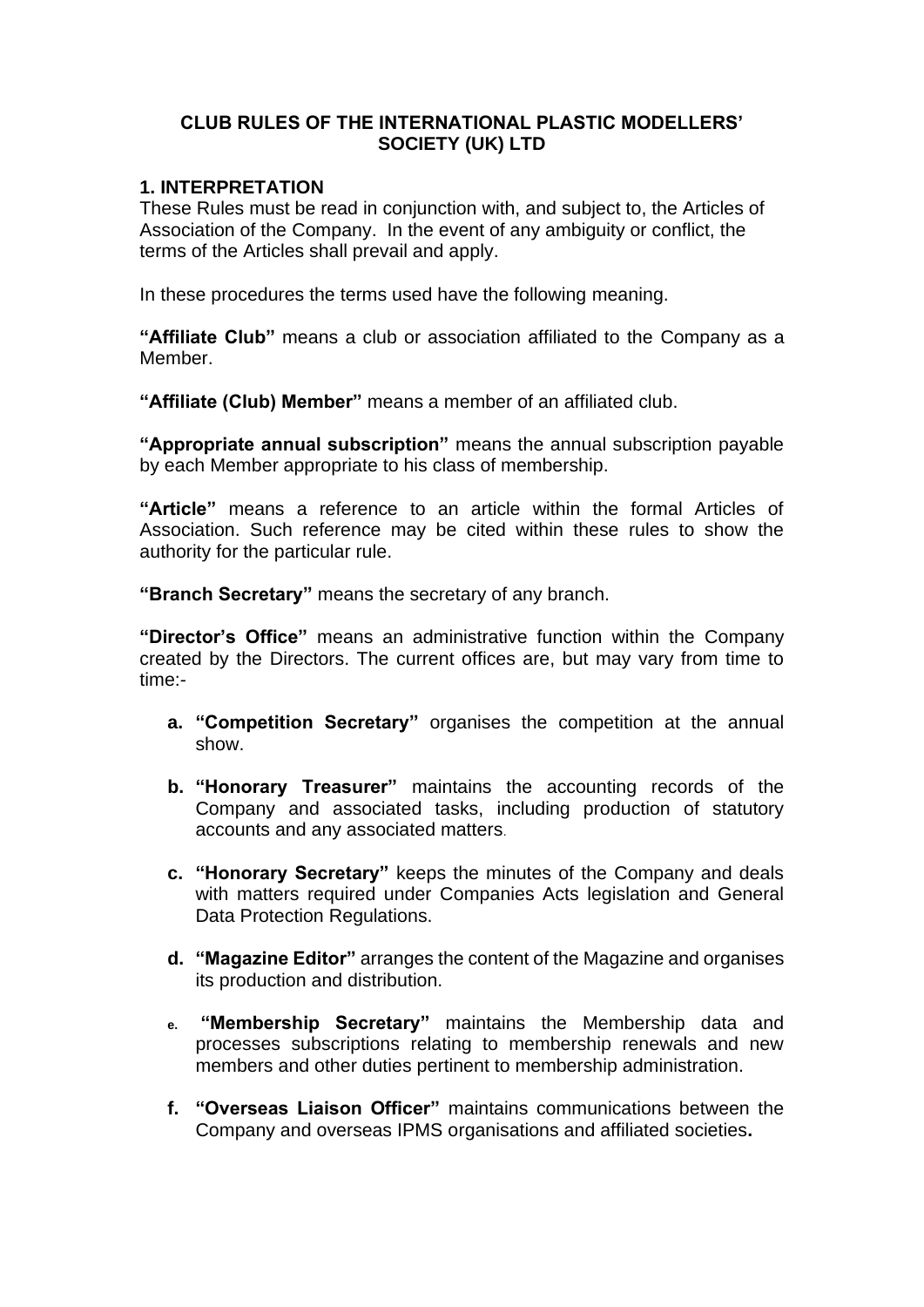### **CLUB RULES OF THE INTERNATIONAL PLASTIC MODELLERS' SOCIETY (UK) LTD**

#### **1. INTERPRETATION**

These Rules must be read in conjunction with, and subject to, the Articles of Association of the Company. In the event of any ambiguity or conflict, the terms of the Articles shall prevail and apply.

In these procedures the terms used have the following meaning.

**"Affiliate Club"** means a club or association affiliated to the Company as a Member.

**"Affiliate (Club) Member"** means a member of an affiliated club.

**"Appropriate annual subscription"** means the annual subscription payable by each Member appropriate to his class of membership.

**"Article"** means a reference to an article within the formal Articles of Association. Such reference may be cited within these rules to show the authority for the particular rule.

**"Branch Secretary"** means the secretary of any branch.

**"Director's Office"** means an administrative function within the Company created by the Directors. The current offices are, but may vary from time to time:-

- **a. "Competition Secretary"** organises the competition at the annual show.
- **b. "Honorary Treasurer"** maintains the accounting records of the Company and associated tasks, including production of statutory accounts and any associated matters.
- **c. "Honorary Secretary"** keeps the minutes of the Company and deals with matters required under Companies Acts legislation and General Data Protection Regulations.
- **d. "Magazine Editor"** arranges the content of the Magazine and organises its production and distribution.
- **e. "Membership Secretary"** maintains the Membership data and processes subscriptions relating to membership renewals and new members and other duties pertinent to membership administration.
- **f. "Overseas Liaison Officer"** maintains communications between the Company and overseas IPMS organisations and affiliated societies**.**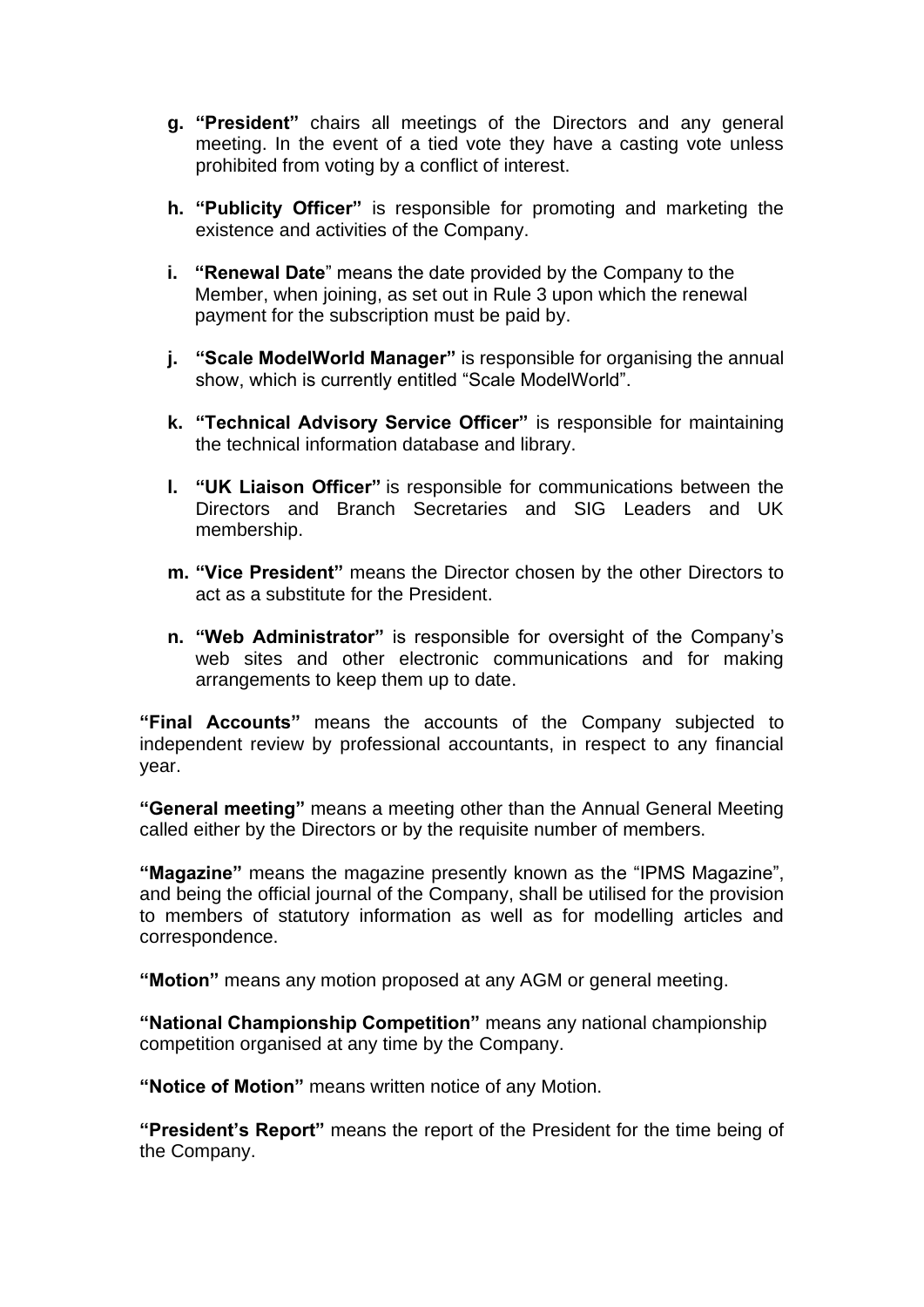- **g. "President"** chairs all meetings of the Directors and any general meeting. In the event of a tied vote they have a casting vote unless prohibited from voting by a conflict of interest.
- **h. "Publicity Officer"** is responsible for promoting and marketing the existence and activities of the Company.
- **i. "Renewal Date**" means the date provided by the Company to the Member, when joining, as set out in Rule 3 upon which the renewal payment for the subscription must be paid by.
- **j. "Scale ModelWorld Manager"** is responsible for organising the annual show, which is currently entitled "Scale ModelWorld".
- **k. "Technical Advisory Service Officer"** is responsible for maintaining the technical information database and library.
- **l. "UK Liaison Officer"** is responsible for communications between the Directors and Branch Secretaries and SIG Leaders and UK membership.
- **m. "Vice President"** means the Director chosen by the other Directors to act as a substitute for the President.
- **n. "Web Administrator"** is responsible for oversight of the Company's web sites and other electronic communications and for making arrangements to keep them up to date.

**"Final Accounts"** means the accounts of the Company subjected to independent review by professional accountants, in respect to any financial year.

**"General meeting"** means a meeting other than the Annual General Meeting called either by the Directors or by the requisite number of members.

**"Magazine"** means the magazine presently known as the "IPMS Magazine", and being the official journal of the Company, shall be utilised for the provision to members of statutory information as well as for modelling articles and correspondence.

**"Motion"** means any motion proposed at any AGM or general meeting.

**"National Championship Competition"** means any national championship competition organised at any time by the Company.

**"Notice of Motion"** means written notice of any Motion.

**"President's Report"** means the report of the President for the time being of the Company.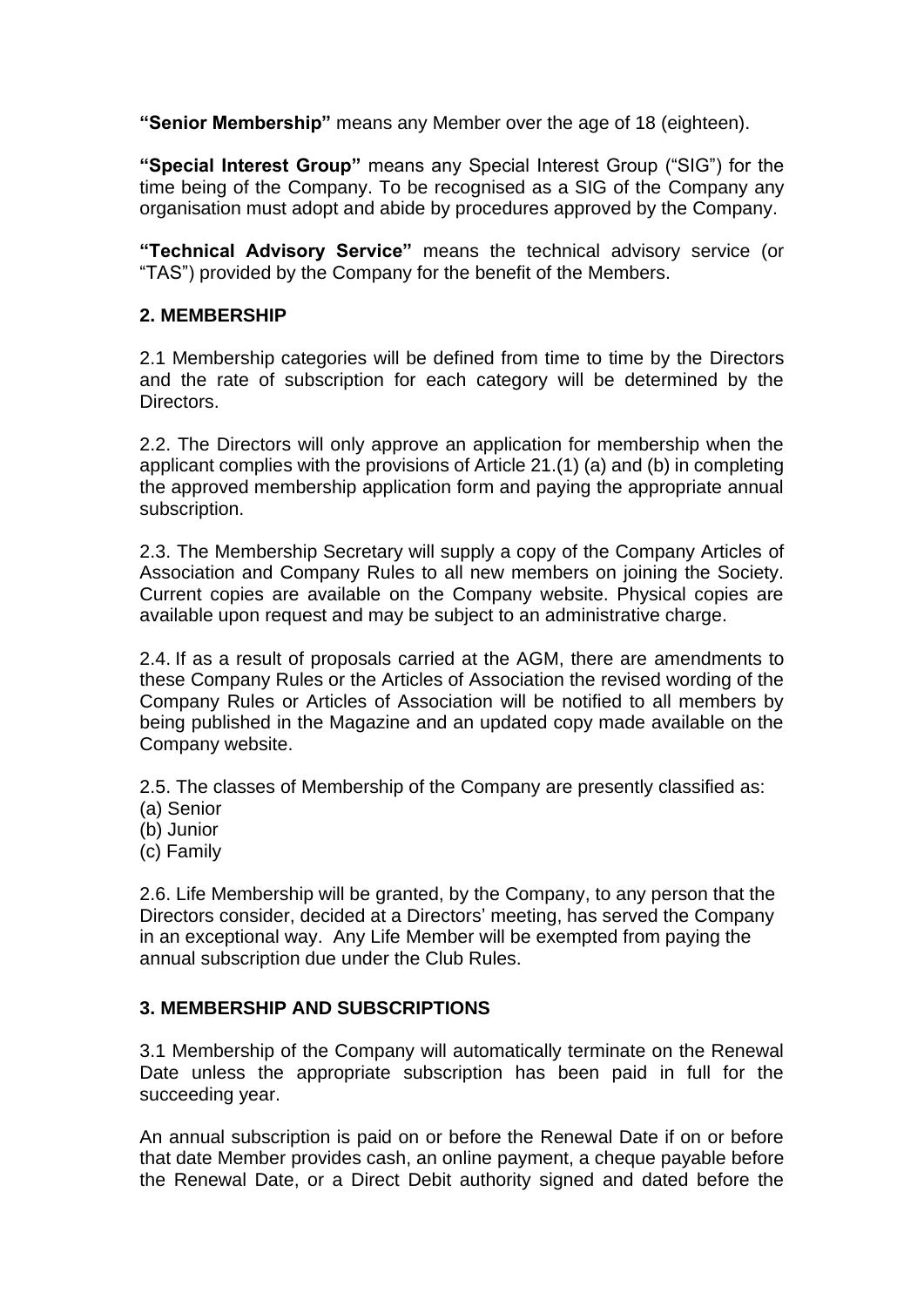**"Senior Membership"** means any Member over the age of 18 (eighteen).

**"Special Interest Group"** means any Special Interest Group ("SIG") for the time being of the Company. To be recognised as a SIG of the Company any organisation must adopt and abide by procedures approved by the Company.

**"Technical Advisory Service"** means the technical advisory service (or "TAS") provided by the Company for the benefit of the Members.

### **2. MEMBERSHIP**

2.1 Membership categories will be defined from time to time by the Directors and the rate of subscription for each category will be determined by the Directors.

2.2. The Directors will only approve an application for membership when the applicant complies with the provisions of Article 21.(1) (a) and (b) in completing the approved membership application form and paying the appropriate annual subscription.

2.3. The Membership Secretary will supply a copy of the Company Articles of Association and Company Rules to all new members on joining the Society. Current copies are available on the Company website. Physical copies are available upon request and may be subject to an administrative charge.

2.4. If as a result of proposals carried at the AGM, there are amendments to these Company Rules or the Articles of Association the revised wording of the Company Rules or Articles of Association will be notified to all members by being published in the Magazine and an updated copy made available on the Company website.

2.5. The classes of Membership of the Company are presently classified as:

- (a) Senior
- (b) Junior
- (c) Family

2.6. Life Membership will be granted, by the Company, to any person that the Directors consider, decided at a Directors' meeting, has served the Company in an exceptional way. Any Life Member will be exempted from paying the annual subscription due under the Club Rules.

#### **3. MEMBERSHIP AND SUBSCRIPTIONS**

3.1 Membership of the Company will automatically terminate on the Renewal Date unless the appropriate subscription has been paid in full for the succeeding year.

An annual subscription is paid on or before the Renewal Date if on or before that date Member provides cash, an online payment, a cheque payable before the Renewal Date, or a Direct Debit authority signed and dated before the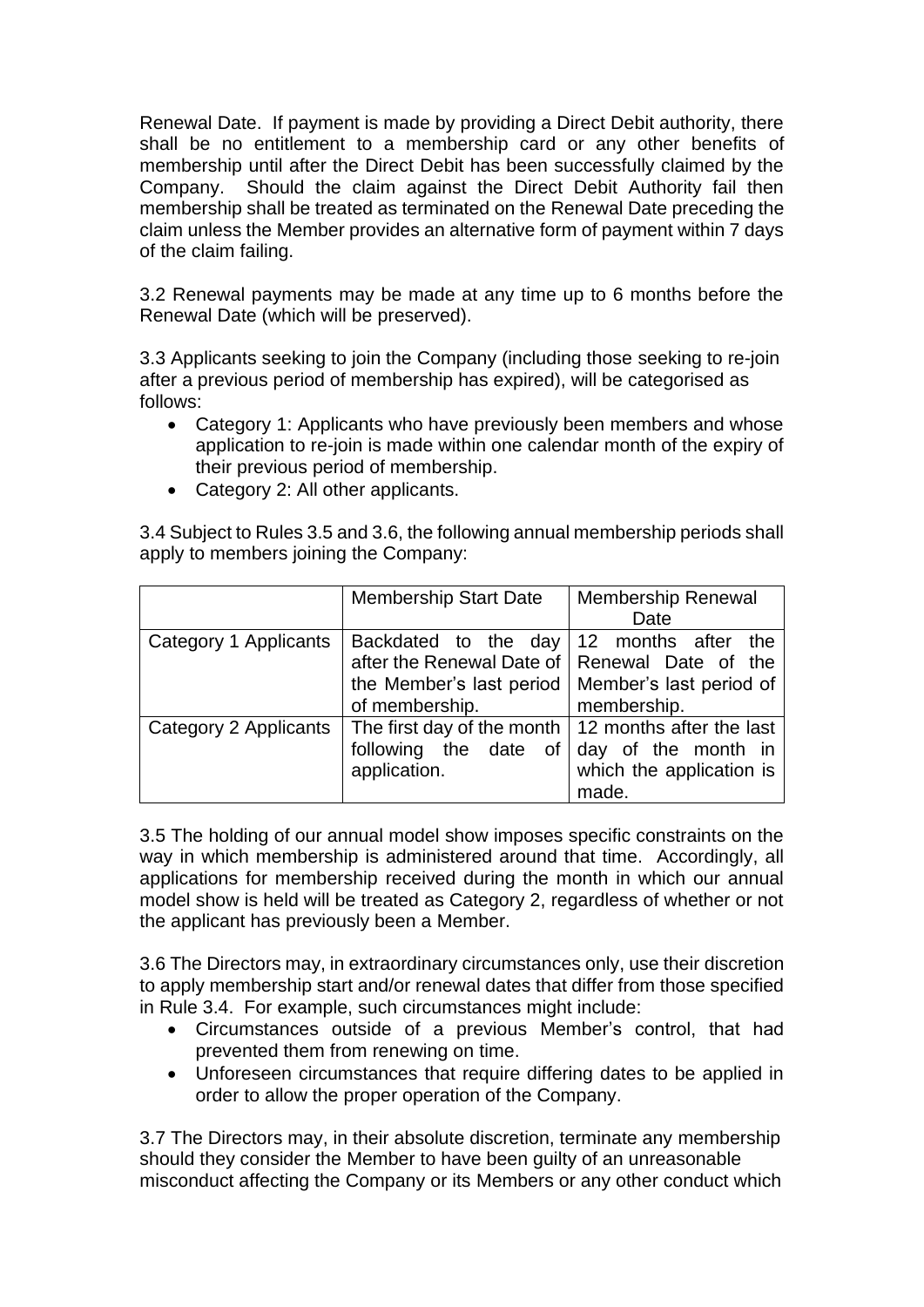Renewal Date. If payment is made by providing a Direct Debit authority, there shall be no entitlement to a membership card or any other benefits of membership until after the Direct Debit has been successfully claimed by the Company. Should the claim against the Direct Debit Authority fail then membership shall be treated as terminated on the Renewal Date preceding the claim unless the Member provides an alternative form of payment within 7 days of the claim failing.

3.2 Renewal payments may be made at any time up to 6 months before the Renewal Date (which will be preserved).

3.3 Applicants seeking to join the Company (including those seeking to re-join after a previous period of membership has expired), will be categorised as follows:

- Category 1: Applicants who have previously been members and whose application to re-join is made within one calendar month of the expiry of their previous period of membership.
- Category 2: All other applicants.

3.4 Subject to Rules 3.5 and 3.6, the following annual membership periods shall apply to members joining the Company:

|                       | <b>Membership Start Date</b>                                                                      | <b>Membership Renewal</b><br>Date                                                       |
|-----------------------|---------------------------------------------------------------------------------------------------|-----------------------------------------------------------------------------------------|
| Category 1 Applicants | Backdated to the day<br>after the Renewal Date of<br>the Member's last period<br>of membership.   | 12 months after<br>the<br>Renewal Date of the<br>Member's last period of<br>membership. |
| Category 2 Applicants | The first day of the month   12 months after the last<br>following the date<br>of<br>application. | day of the month in<br>which the application is<br>made.                                |

3.5 The holding of our annual model show imposes specific constraints on the way in which membership is administered around that time. Accordingly, all applications for membership received during the month in which our annual model show is held will be treated as Category 2, regardless of whether or not the applicant has previously been a Member.

3.6 The Directors may, in extraordinary circumstances only, use their discretion to apply membership start and/or renewal dates that differ from those specified in Rule 3.4. For example, such circumstances might include:

- Circumstances outside of a previous Member's control, that had prevented them from renewing on time.
- Unforeseen circumstances that require differing dates to be applied in order to allow the proper operation of the Company.

3.7 The Directors may, in their absolute discretion, terminate any membership should they consider the Member to have been guilty of an unreasonable misconduct affecting the Company or its Members or any other conduct which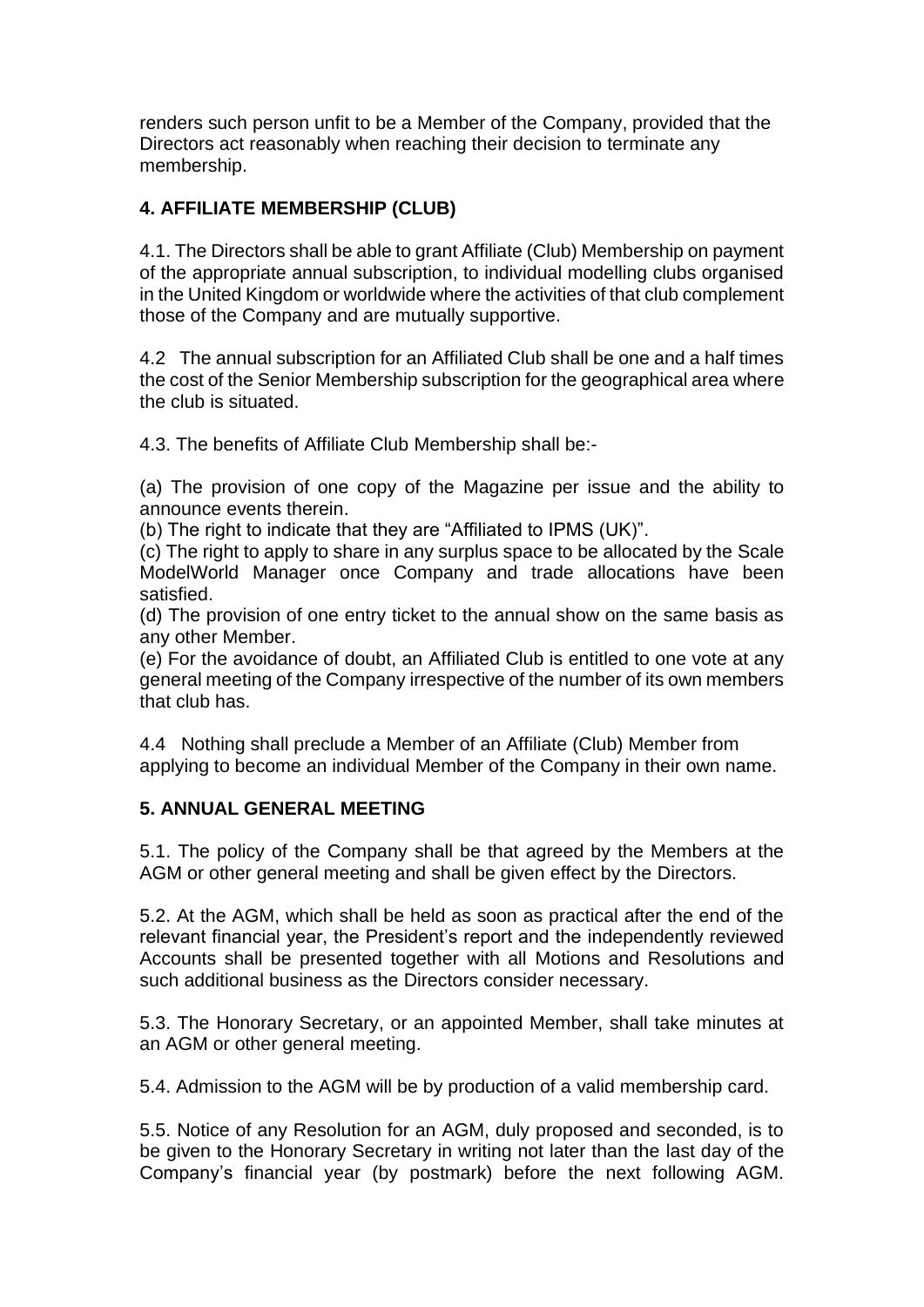renders such person unfit to be a Member of the Company, provided that the Directors act reasonably when reaching their decision to terminate any membership.

# **4. AFFILIATE MEMBERSHIP (CLUB)**

4.1. The Directors shall be able to grant Affiliate (Club) Membership on payment of the appropriate annual subscription, to individual modelling clubs organised in the United Kingdom or worldwide where the activities of that club complement those of the Company and are mutually supportive.

4.2 The annual subscription for an Affiliated Club shall be one and a half times the cost of the Senior Membership subscription for the geographical area where the club is situated.

4.3. The benefits of Affiliate Club Membership shall be:-

(a) The provision of one copy of the Magazine per issue and the ability to announce events therein.

(b) The right to indicate that they are "Affiliated to IPMS (UK)".

(c) The right to apply to share in any surplus space to be allocated by the Scale ModelWorld Manager once Company and trade allocations have been satisfied.

(d) The provision of one entry ticket to the annual show on the same basis as any other Member.

(e) For the avoidance of doubt, an Affiliated Club is entitled to one vote at any general meeting of the Company irrespective of the number of its own members that club has.

4.4 Nothing shall preclude a Member of an Affiliate (Club) Member from applying to become an individual Member of the Company in their own name.

# **5. ANNUAL GENERAL MEETING**

5.1. The policy of the Company shall be that agreed by the Members at the AGM or other general meeting and shall be given effect by the Directors.

5.2. At the AGM, which shall be held as soon as practical after the end of the relevant financial year, the President's report and the independently reviewed Accounts shall be presented together with all Motions and Resolutions and such additional business as the Directors consider necessary.

5.3. The Honorary Secretary, or an appointed Member, shall take minutes at an AGM or other general meeting.

5.4. Admission to the AGM will be by production of a valid membership card.

5.5. Notice of any Resolution for an AGM, duly proposed and seconded, is to be given to the Honorary Secretary in writing not later than the last day of the Company's financial year (by postmark) before the next following AGM.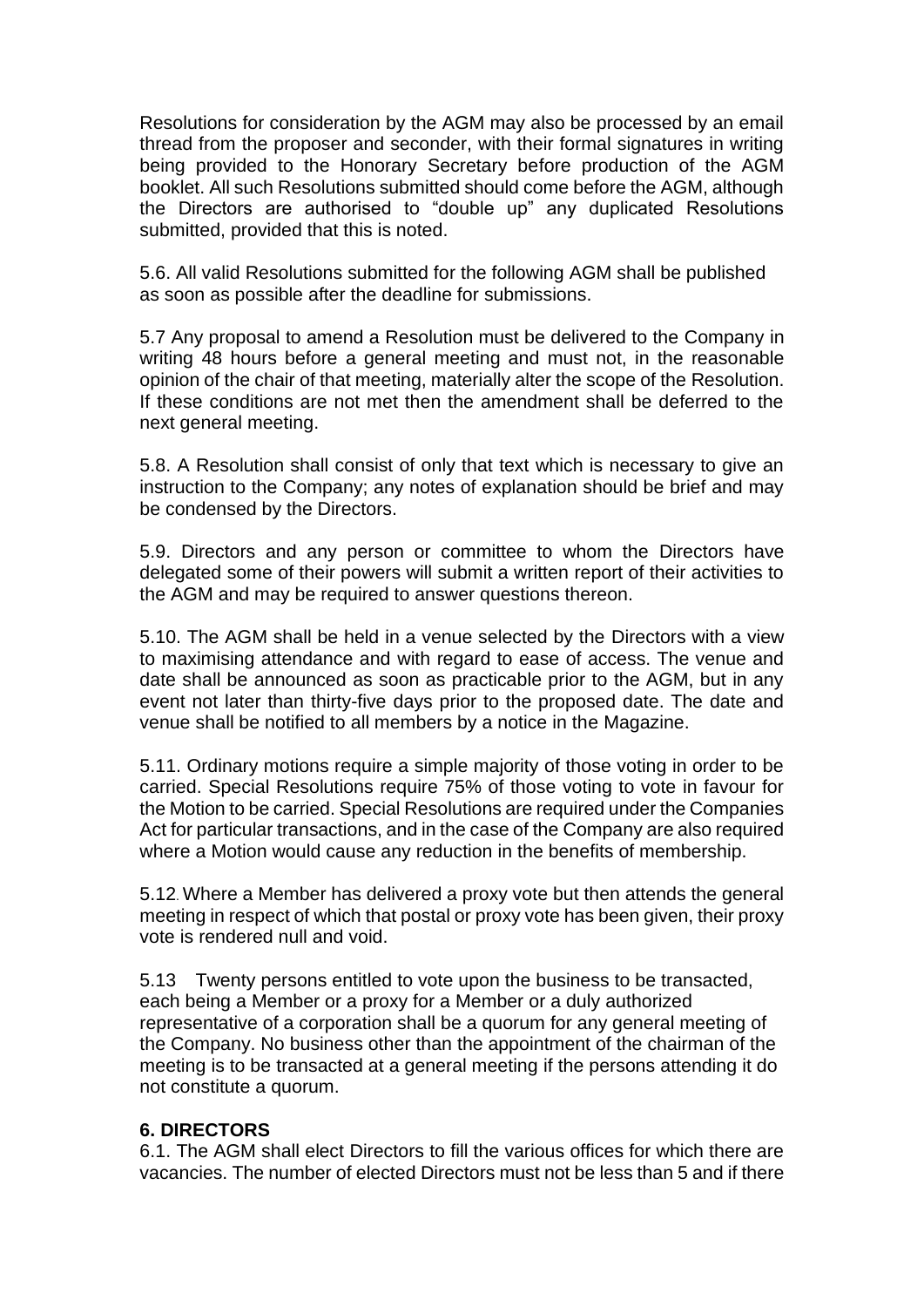Resolutions for consideration by the AGM may also be processed by an email thread from the proposer and seconder, with their formal signatures in writing being provided to the Honorary Secretary before production of the AGM booklet. All such Resolutions submitted should come before the AGM, although the Directors are authorised to "double up" any duplicated Resolutions submitted, provided that this is noted.

5.6. All valid Resolutions submitted for the following AGM shall be published as soon as possible after the deadline for submissions.

5.7 Any proposal to amend a Resolution must be delivered to the Company in writing 48 hours before a general meeting and must not, in the reasonable opinion of the chair of that meeting, materially alter the scope of the Resolution. If these conditions are not met then the amendment shall be deferred to the next general meeting.

5.8. A Resolution shall consist of only that text which is necessary to give an instruction to the Company; any notes of explanation should be brief and may be condensed by the Directors.

5.9. Directors and any person or committee to whom the Directors have delegated some of their powers will submit a written report of their activities to the AGM and may be required to answer questions thereon.

5.10. The AGM shall be held in a venue selected by the Directors with a view to maximising attendance and with regard to ease of access. The venue and date shall be announced as soon as practicable prior to the AGM, but in any event not later than thirty-five days prior to the proposed date. The date and venue shall be notified to all members by a notice in the Magazine.

5.11. Ordinary motions require a simple majority of those voting in order to be carried. Special Resolutions require 75% of those voting to vote in favour for the Motion to be carried. Special Resolutions are required under the Companies Act for particular transactions, and in the case of the Company are also required where a Motion would cause any reduction in the benefits of membership.

5.12. Where a Member has delivered a proxy vote but then attends the general meeting in respect of which that postal or proxy vote has been given, their proxy vote is rendered null and void.

5.13 Twenty persons entitled to vote upon the business to be transacted, each being a Member or a proxy for a Member or a duly authorized representative of a corporation shall be a quorum for any general meeting of the Company. No business other than the appointment of the chairman of the meeting is to be transacted at a general meeting if the persons attending it do not constitute a quorum.

#### **6. DIRECTORS**

6.1. The AGM shall elect Directors to fill the various offices for which there are vacancies. The number of elected Directors must not be less than 5 and if there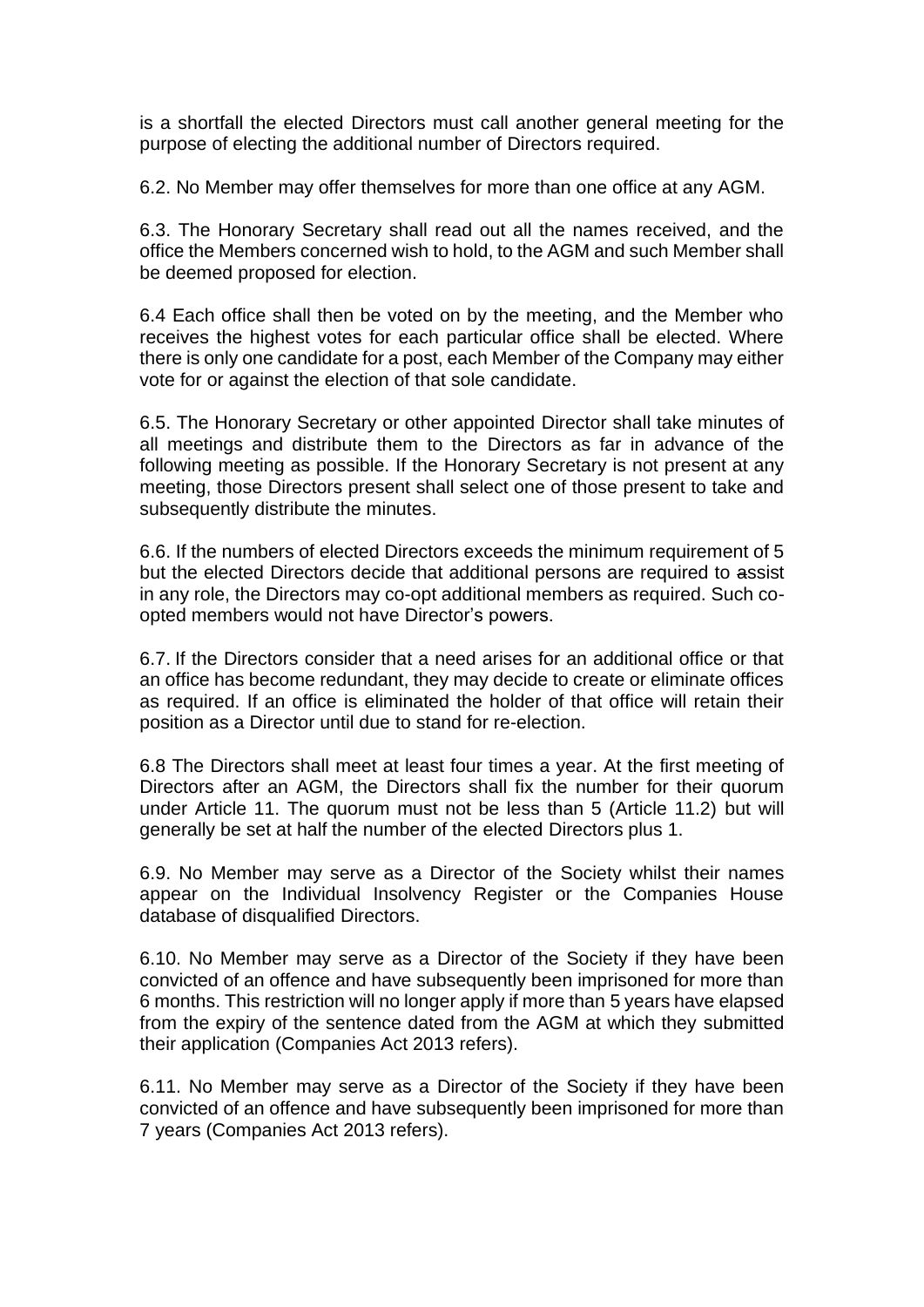is a shortfall the elected Directors must call another general meeting for the purpose of electing the additional number of Directors required.

6.2. No Member may offer themselves for more than one office at any AGM.

6.3. The Honorary Secretary shall read out all the names received, and the office the Members concerned wish to hold, to the AGM and such Member shall be deemed proposed for election.

6.4 Each office shall then be voted on by the meeting, and the Member who receives the highest votes for each particular office shall be elected. Where there is only one candidate for a post, each Member of the Company may either vote for or against the election of that sole candidate.

6.5. The Honorary Secretary or other appointed Director shall take minutes of all meetings and distribute them to the Directors as far in advance of the following meeting as possible. If the Honorary Secretary is not present at any meeting, those Directors present shall select one of those present to take and subsequently distribute the minutes.

6.6. If the numbers of elected Directors exceeds the minimum requirement of 5 but the elected Directors decide that additional persons are required to assist in any role, the Directors may co-opt additional members as required. Such coopted members would not have Director's powers.

6.7. If the Directors consider that a need arises for an additional office or that an office has become redundant, they may decide to create or eliminate offices as required. If an office is eliminated the holder of that office will retain their position as a Director until due to stand for re-election.

6.8 The Directors shall meet at least four times a year. At the first meeting of Directors after an AGM, the Directors shall fix the number for their quorum under Article 11. The quorum must not be less than 5 (Article 11.2) but will generally be set at half the number of the elected Directors plus 1.

6.9. No Member may serve as a Director of the Society whilst their names appear on the Individual Insolvency Register or the Companies House database of disqualified Directors.

6.10. No Member may serve as a Director of the Society if they have been convicted of an offence and have subsequently been imprisoned for more than 6 months. This restriction will no longer apply if more than 5 years have elapsed from the expiry of the sentence dated from the AGM at which they submitted their application (Companies Act 2013 refers).

6.11. No Member may serve as a Director of the Society if they have been convicted of an offence and have subsequently been imprisoned for more than 7 years (Companies Act 2013 refers).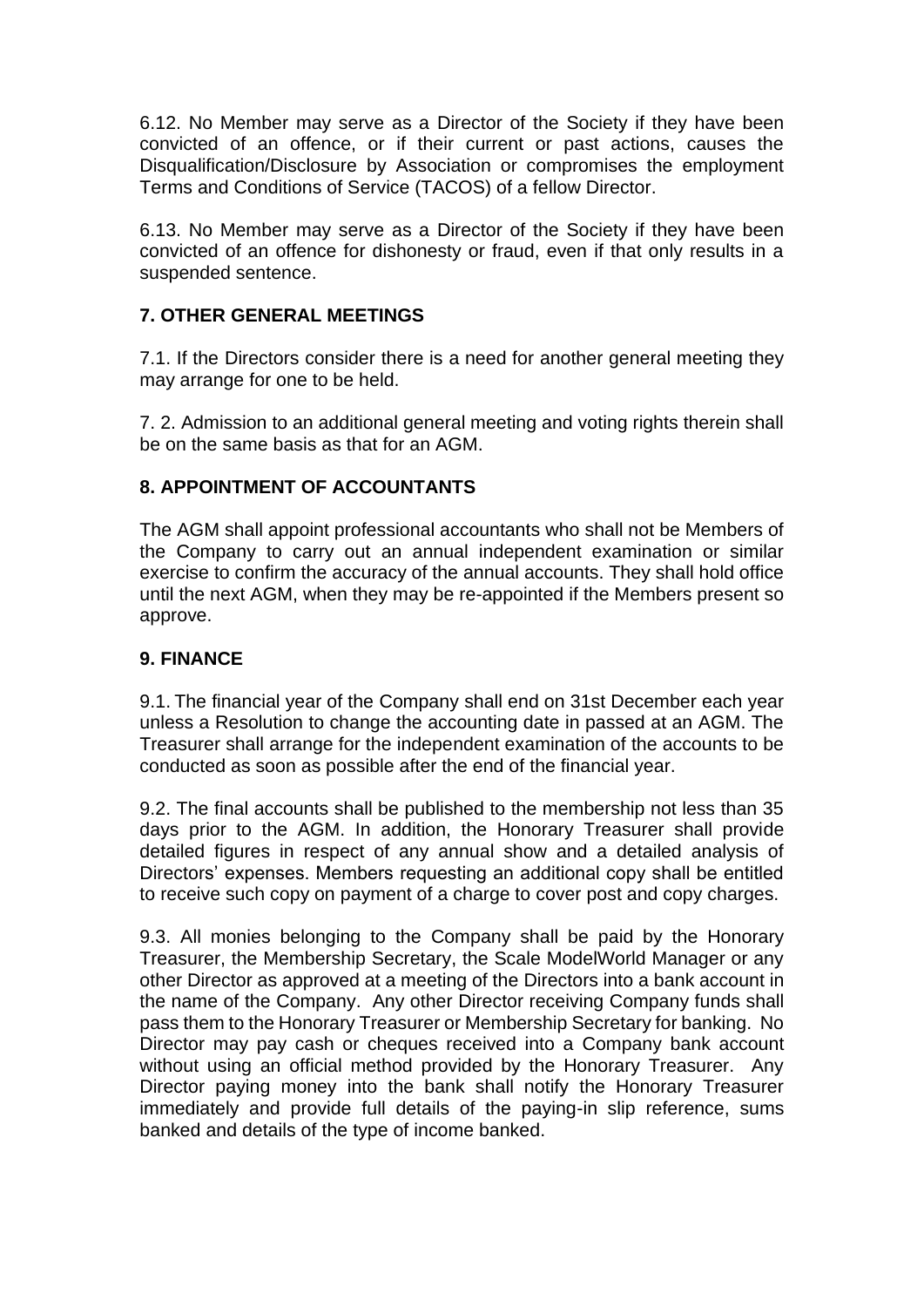6.12. No Member may serve as a Director of the Society if they have been convicted of an offence, or if their current or past actions, causes the Disqualification/Disclosure by Association or compromises the employment Terms and Conditions of Service (TACOS) of a fellow Director.

6.13. No Member may serve as a Director of the Society if they have been convicted of an offence for dishonesty or fraud, even if that only results in a suspended sentence.

# **7. OTHER GENERAL MEETINGS**

7.1. If the Directors consider there is a need for another general meeting they may arrange for one to be held.

7. 2. Admission to an additional general meeting and voting rights therein shall be on the same basis as that for an AGM.

# **8. APPOINTMENT OF ACCOUNTANTS**

The AGM shall appoint professional accountants who shall not be Members of the Company to carry out an annual independent examination or similar exercise to confirm the accuracy of the annual accounts. They shall hold office until the next AGM, when they may be re-appointed if the Members present so approve.

### **9. FINANCE**

9.1. The financial year of the Company shall end on 31st December each year unless a Resolution to change the accounting date in passed at an AGM. The Treasurer shall arrange for the independent examination of the accounts to be conducted as soon as possible after the end of the financial year.

9.2. The final accounts shall be published to the membership not less than 35 days prior to the AGM. In addition, the Honorary Treasurer shall provide detailed figures in respect of any annual show and a detailed analysis of Directors' expenses. Members requesting an additional copy shall be entitled to receive such copy on payment of a charge to cover post and copy charges.

9.3. All monies belonging to the Company shall be paid by the Honorary Treasurer, the Membership Secretary, the Scale ModelWorld Manager or any other Director as approved at a meeting of the Directors into a bank account in the name of the Company. Any other Director receiving Company funds shall pass them to the Honorary Treasurer or Membership Secretary for banking. No Director may pay cash or cheques received into a Company bank account without using an official method provided by the Honorary Treasurer. Any Director paying money into the bank shall notify the Honorary Treasurer immediately and provide full details of the paying-in slip reference, sums banked and details of the type of income banked.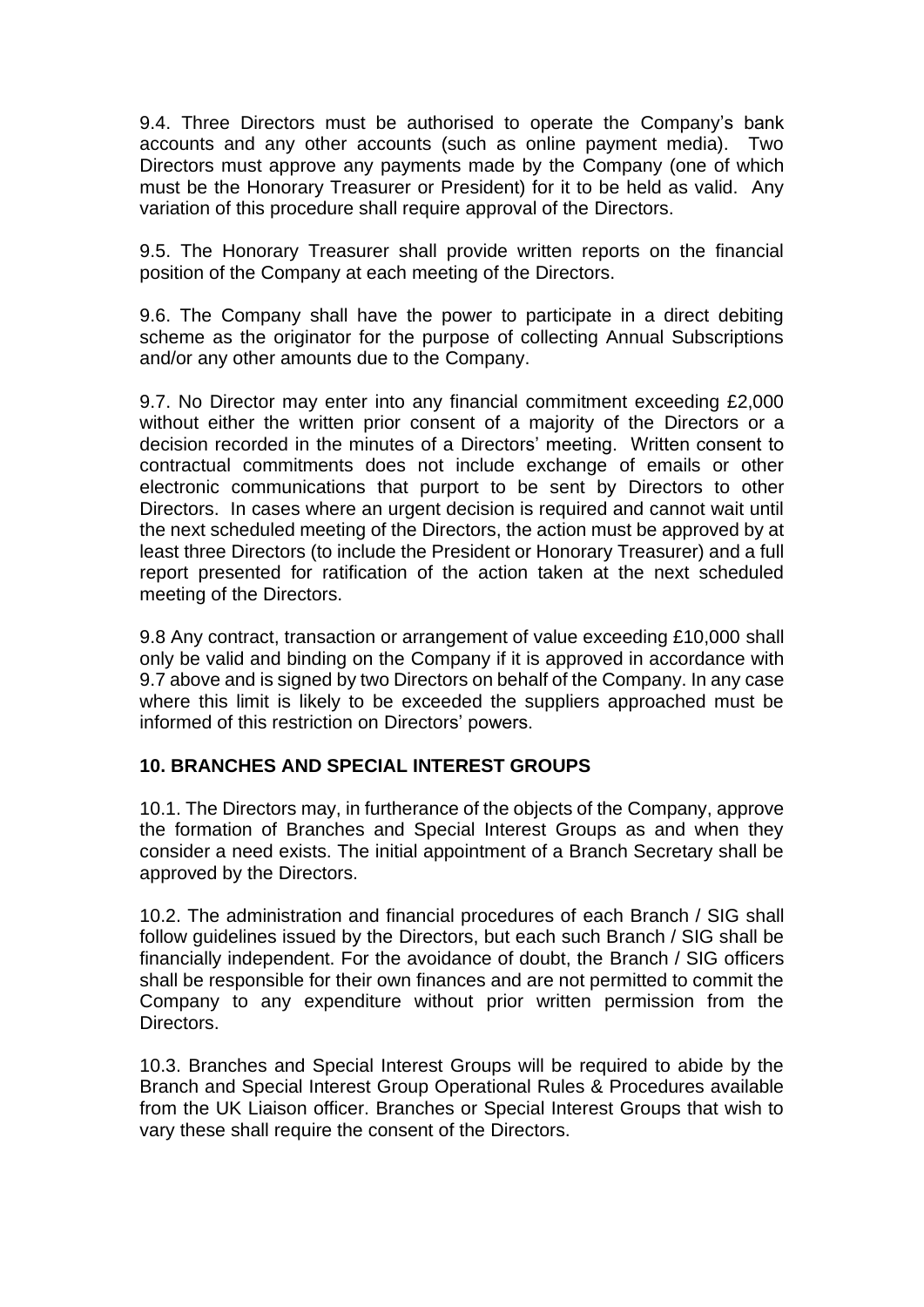9.4. Three Directors must be authorised to operate the Company's bank accounts and any other accounts (such as online payment media). Two Directors must approve any payments made by the Company (one of which must be the Honorary Treasurer or President) for it to be held as valid. Any variation of this procedure shall require approval of the Directors.

9.5. The Honorary Treasurer shall provide written reports on the financial position of the Company at each meeting of the Directors.

9.6. The Company shall have the power to participate in a direct debiting scheme as the originator for the purpose of collecting Annual Subscriptions and/or any other amounts due to the Company.

9.7. No Director may enter into any financial commitment exceeding £2,000 without either the written prior consent of a majority of the Directors or a decision recorded in the minutes of a Directors' meeting. Written consent to contractual commitments does not include exchange of emails or other electronic communications that purport to be sent by Directors to other Directors. In cases where an urgent decision is required and cannot wait until the next scheduled meeting of the Directors, the action must be approved by at least three Directors (to include the President or Honorary Treasurer) and a full report presented for ratification of the action taken at the next scheduled meeting of the Directors.

9.8 Any contract, transaction or arrangement of value exceeding £10,000 shall only be valid and binding on the Company if it is approved in accordance with 9.7 above and is signed by two Directors on behalf of the Company. In any case where this limit is likely to be exceeded the suppliers approached must be informed of this restriction on Directors' powers.

# **10. BRANCHES AND SPECIAL INTEREST GROUPS**

10.1. The Directors may, in furtherance of the objects of the Company, approve the formation of Branches and Special Interest Groups as and when they consider a need exists. The initial appointment of a Branch Secretary shall be approved by the Directors.

10.2. The administration and financial procedures of each Branch / SIG shall follow guidelines issued by the Directors, but each such Branch / SIG shall be financially independent. For the avoidance of doubt, the Branch / SIG officers shall be responsible for their own finances and are not permitted to commit the Company to any expenditure without prior written permission from the Directors.

10.3. Branches and Special Interest Groups will be required to abide by the Branch and Special Interest Group Operational Rules & Procedures available from the UK Liaison officer. Branches or Special Interest Groups that wish to vary these shall require the consent of the Directors.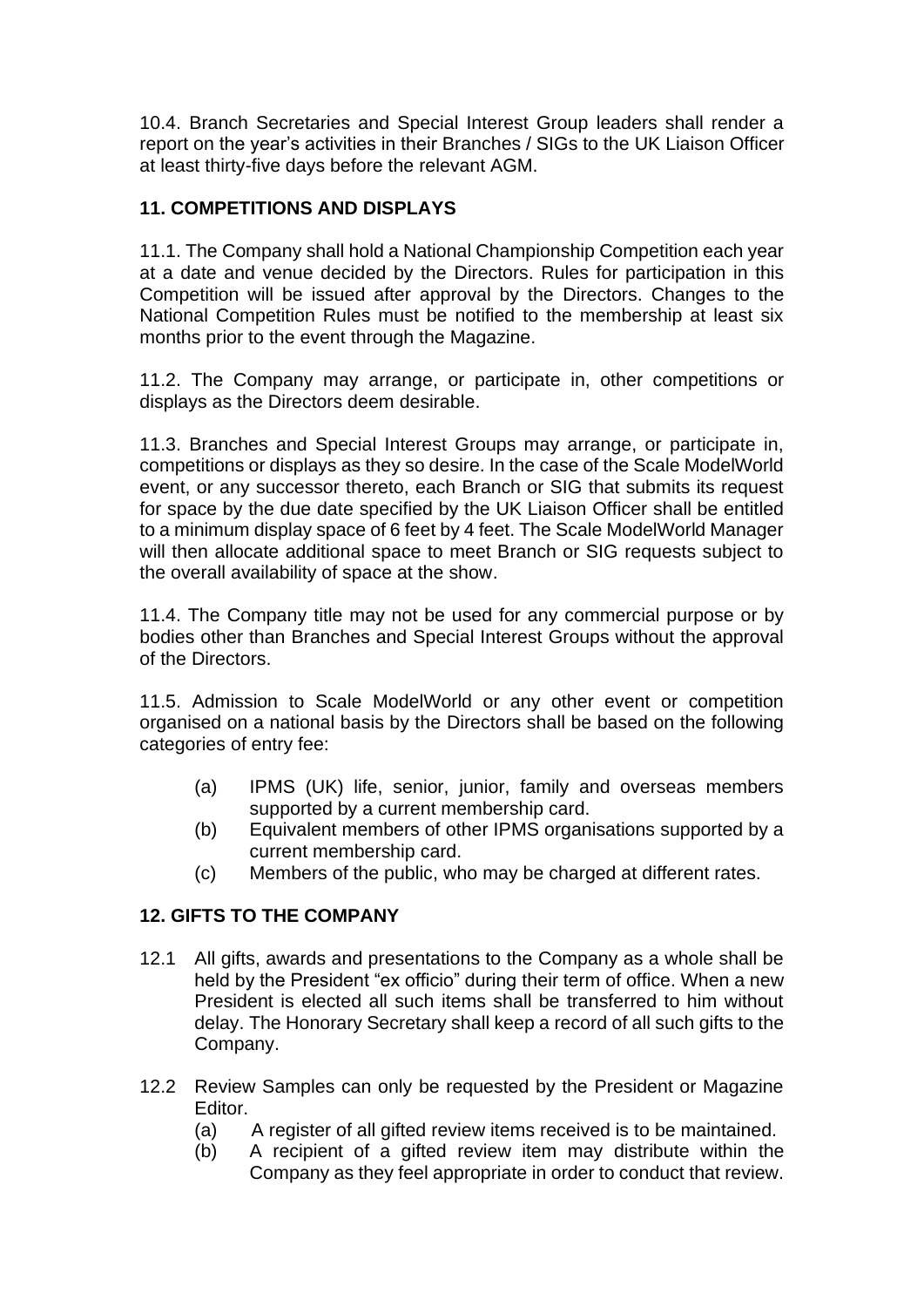10.4. Branch Secretaries and Special Interest Group leaders shall render a report on the year's activities in their Branches / SIGs to the UK Liaison Officer at least thirty-five days before the relevant AGM.

# **11. COMPETITIONS AND DISPLAYS**

11.1. The Company shall hold a National Championship Competition each year at a date and venue decided by the Directors. Rules for participation in this Competition will be issued after approval by the Directors. Changes to the National Competition Rules must be notified to the membership at least six months prior to the event through the Magazine.

11.2. The Company may arrange, or participate in, other competitions or displays as the Directors deem desirable.

11.3. Branches and Special Interest Groups may arrange, or participate in, competitions or displays as they so desire. In the case of the Scale ModelWorld event, or any successor thereto, each Branch or SIG that submits its request for space by the due date specified by the UK Liaison Officer shall be entitled to a minimum display space of 6 feet by 4 feet. The Scale ModelWorld Manager will then allocate additional space to meet Branch or SIG requests subject to the overall availability of space at the show.

11.4. The Company title may not be used for any commercial purpose or by bodies other than Branches and Special Interest Groups without the approval of the Directors.

11.5. Admission to Scale ModelWorld or any other event or competition organised on a national basis by the Directors shall be based on the following categories of entry fee:

- (a) IPMS (UK) life, senior, junior, family and overseas members supported by a current membership card.
- (b) Equivalent members of other IPMS organisations supported by a current membership card.
- (c) Members of the public, who may be charged at different rates.

# **12. GIFTS TO THE COMPANY**

- 12.1 All gifts, awards and presentations to the Company as a whole shall be held by the President "ex officio" during their term of office. When a new President is elected all such items shall be transferred to him without delay. The Honorary Secretary shall keep a record of all such gifts to the Company.
- 12.2 Review Samples can only be requested by the President or Magazine Editor.
	- (a) A register of all gifted review items received is to be maintained.
	- (b) A recipient of a gifted review item may distribute within the Company as they feel appropriate in order to conduct that review.